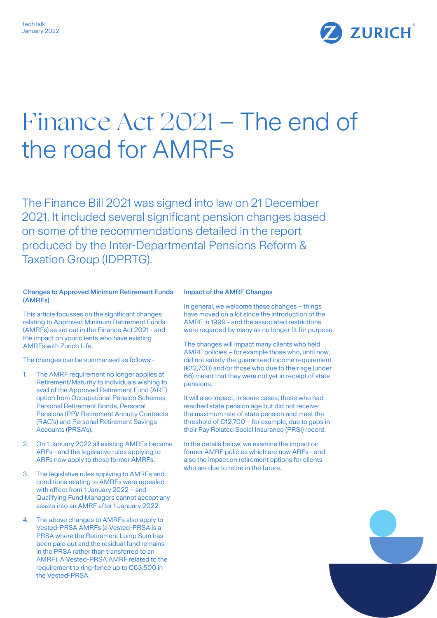

# Finance Act 2021 – The end of the road for AMRFs

The Finance Bill 2021 was signed into law on 21 December 2021. It included several significant pension changes based on some of the recommendations detailed in the report produced by the Inter-Departmental Pensions Reform & Taxation Group (IDPRTG).

## Changes to Approved Minimum Retirement Funds (AMRFs)

This article focusses on the significant changes relating to Approved Minimum Retirement Funds (AMRFs) as set out in the Finance Act 2021 - and the impact on your clients who have existing AMRFs with Zurich Life.

The changes can be summarised as follows:-

- 1. The AMRF requirement no longer applies at Retirement/Maturity to individuals wishing to avail of the Approved Retirement Fund (ARF) option from Occupational Pension Schemes, Personal Retirement Bonds, Personal Pensions (PP)/ Retirement Annuity Contracts (RAC's) and Personal Retirement Savings Accounts (PRSA's).
- 2. On 1 January 2022 all existing AMRFs became ARFs - and the legislative rules applying to ARFs now apply to these former AMRFs.
- 3. The legislative rules applying to AMRFs and conditions relating to AMRFs were repealed with effect from 1 January 2022 – and Qualifying Fund Managers cannot accept any assets into an AMRF after 1 January 2022.
- 4. The above changes to AMRFs also apply to Vested-PRSA AMRFs (a Vested-PRSA is a PRSA where the Retirement Lump Sum has been paid out and the residual fund remains in the PRSA rather than transferred to an AMRF). A Vested-PRSA AMRF related to the requirement to ring-fence up to €63,500 in the Vested-PRSA.

#### Impact of the AMRF Changes

In general, we welcome these changes – things have moved on a lot since the introduction of the AMRF in 1999 - and the associated restrictions were regarded by many as no longer fit for purpose.

The changes will impact many clients who held AMRF policies – for example those who, until now, did not satisfy the guaranteed income requirement (€12,700) and/or those who due to their age (under 66) meant that they were not yet in receipt of state pensions.

It will also impact, in some cases, those who had reached state pension age but did not receive the maximum rate of state pension and meet the threshold of  $E12,700$  – for example, due to gaps in their Pay Related Social Insurance (PRSI) record.

In the details below, we examine the impact on former AMRF policies which are now ARFs - and also the impact on retirement options for clients who are due to retire in the future.